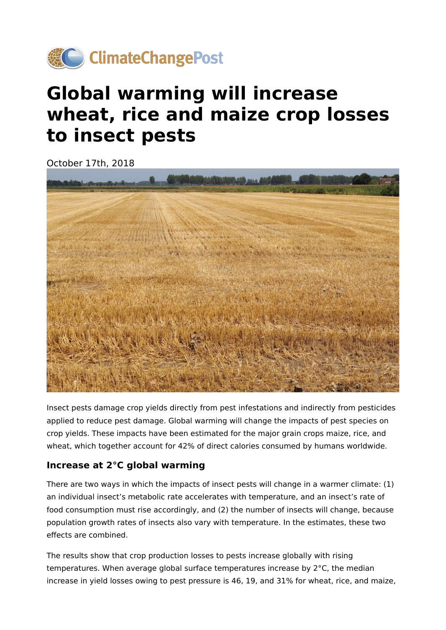

## **Global warming will increase wheat, rice and maize crop losses to insect pests**

October 17th, 2018



Insect pests damage crop yields directly from pest infestations and indirectly from pesticides applied to reduce pest damage. Global warming will change the impacts of pest species on crop yields. These impacts have been estimated for the major grain crops maize, rice, and wheat, which together account for 42% of direct calories consumed by humans worldwide.

## **Increase at 2°C global warming**

There are two ways in which the impacts of insect pests will change in a warmer climate: (1) an individual insect's metabolic rate accelerates with temperature, and an insect's rate of food consumption must rise accordingly, and (2) the number of insects will change, because population growth rates of insects also vary with temperature. In the estimates, these two effects are combined.

The results show that crop production losses to pests increase globally with rising temperatures. When average global surface temperatures increase by 2°C, the median increase in yield losses owing to pest pressure is 46, 19, and 31% for wheat, rice, and maize,